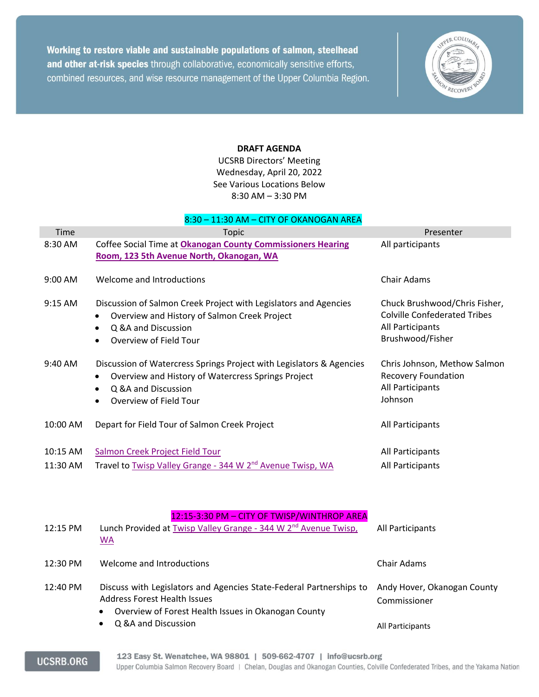Working to restore viable and sustainable populations of salmon, steelhead and other at-risk species through collaborative, economically sensitive efforts, combined resources, and wise resource management of the Upper Columbia Region.



## **DRAFT AGENDA**

UCSRB Directors' Meeting Wednesday, April 20, 2022 See Various Locations Below 8:30 AM – 3:30 PM

| 8:30 - 11:30 AM - CITY OF OKANOGAN AREA |                                                                                                                                                                                               |                                                                                                              |
|-----------------------------------------|-----------------------------------------------------------------------------------------------------------------------------------------------------------------------------------------------|--------------------------------------------------------------------------------------------------------------|
| Time                                    | Topic                                                                                                                                                                                         | Presenter                                                                                                    |
| 8:30 AM                                 | Coffee Social Time at Okanogan County Commissioners Hearing<br>Room, 123 5th Avenue North, Okanogan, WA                                                                                       | All participants                                                                                             |
| 9:00 AM                                 | Welcome and Introductions                                                                                                                                                                     | <b>Chair Adams</b>                                                                                           |
| 9:15 AM                                 | Discussion of Salmon Creek Project with Legislators and Agencies<br>Overview and History of Salmon Creek Project<br>Q &A and Discussion<br>Overview of Field Tour                             | Chuck Brushwood/Chris Fisher,<br><b>Colville Confederated Tribes</b><br>All Participants<br>Brushwood/Fisher |
| 9:40 AM                                 | Discussion of Watercress Springs Project with Legislators & Agencies<br>Overview and History of Watercress Springs Project<br>٠<br>Q &A and Discussion<br>Overview of Field Tour              | Chris Johnson, Methow Salmon<br><b>Recovery Foundation</b><br>All Participants<br>Johnson                    |
| 10:00 AM                                | Depart for Field Tour of Salmon Creek Project                                                                                                                                                 | All Participants                                                                                             |
| 10:15 AM                                | Salmon Creek Project Field Tour                                                                                                                                                               | All Participants                                                                                             |
| 11:30 AM                                | Travel to Twisp Valley Grange - 344 W 2 <sup>nd</sup> Avenue Twisp, WA                                                                                                                        | All Participants                                                                                             |
| 12:15 PM                                | 12:15-3:30 PM - CITY OF TWISP/WINTHROP AREA<br>Lunch Provided at Twisp Valley Grange - 344 W 2 <sup>nd</sup> Avenue Twisp,<br><b>WA</b>                                                       | All Participants                                                                                             |
| 12:30 PM                                | Welcome and Introductions                                                                                                                                                                     | <b>Chair Adams</b>                                                                                           |
| 12:40 PM                                | Discuss with Legislators and Agencies State-Federal Partnerships to<br><b>Address Forest Health Issues</b><br>Overview of Forest Health Issues in Okanogan County<br>٠<br>Q &A and Discussion | Andy Hover, Okanogan County<br>Commissioner                                                                  |
|                                         |                                                                                                                                                                                               | All Participants                                                                                             |